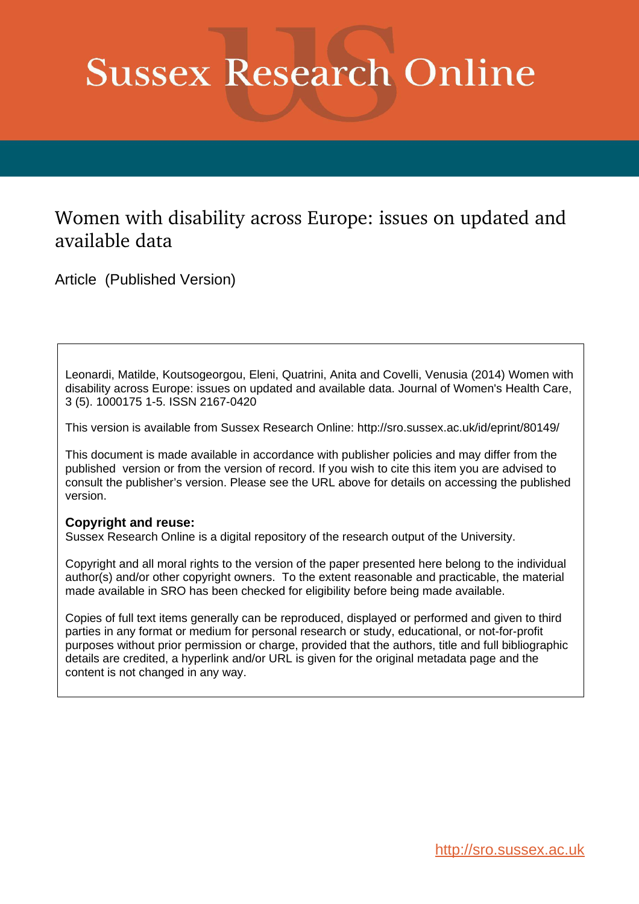# **Sussex Research Online**

# Women with disability across Europe: issues on updated and available data

Article (Published Version)

Leonardi, Matilde, Koutsogeorgou, Eleni, Quatrini, Anita and Covelli, Venusia (2014) Women with disability across Europe: issues on updated and available data. Journal of Women's Health Care, 3 (5). 1000175 1-5. ISSN 2167-0420

This version is available from Sussex Research Online: http://sro.sussex.ac.uk/id/eprint/80149/

This document is made available in accordance with publisher policies and may differ from the published version or from the version of record. If you wish to cite this item you are advised to consult the publisher's version. Please see the URL above for details on accessing the published version.

## **Copyright and reuse:**

Sussex Research Online is a digital repository of the research output of the University.

Copyright and all moral rights to the version of the paper presented here belong to the individual author(s) and/or other copyright owners. To the extent reasonable and practicable, the material made available in SRO has been checked for eligibility before being made available.

Copies of full text items generally can be reproduced, displayed or performed and given to third parties in any format or medium for personal research or study, educational, or not-for-profit purposes without prior permission or charge, provided that the authors, title and full bibliographic details are credited, a hyperlink and/or URL is given for the original metadata page and the content is not changed in any way.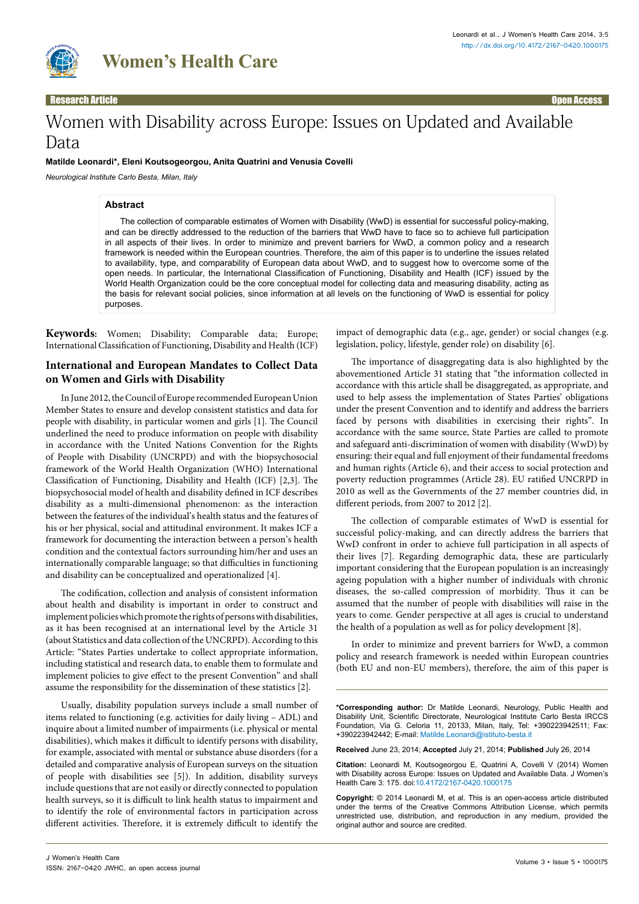

Research Article Open Access

## Women with Disability across Europe: Issues on Updated and Available Data

#### **Matilde Leonardi\*, Eleni Koutsogeorgou, Anita Quatrini and Venusia Covelli**

*Neurological Institute Carlo Besta, Milan, Italy*

#### **Abstract**

The collection of comparable estimates of Women with Disability (WwD) is essential for successful policy-making, and can be directly addressed to the reduction of the barriers that WwD have to face so to achieve full participation in all aspects of their lives. In order to minimize and prevent barriers for WwD, a common policy and a research framework is needed within the European countries. Therefore, the aim of this paper is to underline the issues related to availability, type, and comparability of European data about WwD, and to suggest how to overcome some of the open needs. In particular, the International Classification of Functioning, Disability and Health (ICF) issued by the World Health Organization could be the core conceptual model for collecting data and measuring disability, acting as the basis for relevant social policies, since information at all levels on the functioning of WwD is essential for policy purposes.

**Keywords:** Women; Disability; Comparable data; Europe; International Classification of Functioning, Disability and Health (ICF)

#### **International and European Mandates to Collect Data on Women and Girls with Disability**

In June 2012, the Council of Europe recommended European Union Member States to ensure and develop consistent statistics and data for people with disability, in particular women and girls [1]. The Council underlined the need to produce information on people with disability in accordance with the United Nations Convention for the Rights of People with Disability (UNCRPD) and with the biopsychosocial framework of the World Health Organization (WHO) International Classification of Functioning, Disability and Health (ICF) [2,3]. The biopsychosocial model of health and disability defined in ICF describes disability as a multi-dimensional phenomenon: as the interaction between the features of the individual's health status and the features of his or her physical, social and attitudinal environment. It makes ICF a framework for documenting the interaction between a person's health condition and the contextual factors surrounding him/her and uses an internationally comparable language; so that difficulties in functioning and disability can be conceptualized and operationalized [4].

The codification, collection and analysis of consistent information about health and disability is important in order to construct and implement policies which promote the rights of persons with disabilities, as it has been recognised at an international level by the Article 31 (about Statistics and data collection of the UNCRPD). According to this Article: "States Parties undertake to collect appropriate information, including statistical and research data, to enable them to formulate and implement policies to give effect to the present Convention" and shall assume the responsibility for the dissemination of these statistics [2].

Usually, disability population surveys include a small number of items related to functioning (e.g. activities for daily living – ADL) and inquire about a limited number of impairments (i.e. physical or mental disabilities), which makes it difficult to identify persons with disability, for example, associated with mental or substance abuse disorders (for a detailed and comparative analysis of European surveys on the situation of people with disabilities see [5]). In addition, disability surveys include questions that are not easily or directly connected to population health surveys, so it is difficult to link health status to impairment and to identify the role of environmental factors in participation across different activities. Therefore, it is extremely difficult to identify the impact of demographic data (e.g., age, gender) or social changes (e.g. legislation, policy, lifestyle, gender role) on disability [6].

The importance of disaggregating data is also highlighted by the abovementioned Article 31 stating that "the information collected in accordance with this article shall be disaggregated, as appropriate, and used to help assess the implementation of States Parties' obligations under the present Convention and to identify and address the barriers faced by persons with disabilities in exercising their rights". In accordance with the same source, State Parties are called to promote and safeguard anti-discrimination of women with disability (WwD) by ensuring: their equal and full enjoyment of their fundamental freedoms and human rights (Article 6), and their access to social protection and poverty reduction programmes (Article 28). EU ratified UNCRPD in 2010 as well as the Governments of the 27 member countries did, in different periods, from 2007 to 2012 [2].

The collection of comparable estimates of WwD is essential for successful policy-making, and can directly address the barriers that WwD confront in order to achieve full participation in all aspects of their lives [7]. Regarding demographic data, these are particularly important considering that the European population is an increasingly ageing population with a higher number of individuals with chronic diseases, the so-called compression of morbidity. Thus it can be assumed that the number of people with disabilities will raise in the years to come. Gender perspective at all ages is crucial to understand the health of a population as well as for policy development [8].

In order to minimize and prevent barriers for WwD, a common policy and research framework is needed within European countries (both EU and non-EU members), therefore, the aim of this paper is

**\*Corresponding author:** Dr Matilde Leonardi, Neurology, Public Health and Disability Unit, Scientific Directorate, Neurological Institute Carlo Besta IRCCS Foundation, Via G. Celoria 11, 20133, Milan, Italy, Tel: +390223942511; Fax: +390223942442; E-mail: Matilde.Leonardi@istituto-besta.it

**Received** June 23, 2014; **Accepted** July 21, 2014; **Published** July 26, 2014

**Citation:** Leonardi M, Koutsogeorgou E, Quatrini A, Covelli V (2014) Women with Disability across Europe: Issues on Updated and Available Data. J Women's Health Care 3: 175. doi[:10.4172/2167-0420.10001](http://dx.doi.org/10.4172/2167-0420.1000175)75

**Copyright:** © 2014 Leonardi M, et al. This is an open-access article distributed under the terms of the Creative Commons Attribution License, which permits unrestricted use, distribution, and reproduction in any medium, provided the original author and source are credited.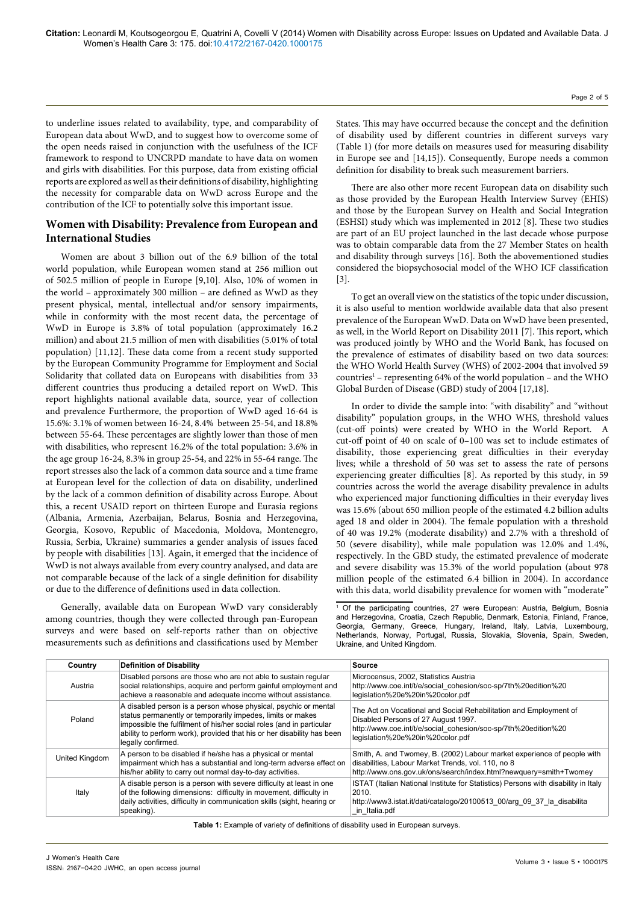to underline issues related to availability, type, and comparability of European data about WwD, and to suggest how to overcome some of the open needs raised in conjunction with the usefulness of the ICF framework to respond to UNCRPD mandate to have data on women and girls with disabilities. For this purpose, data from existing official reports are explored as well as their definitions of disability, highlighting the necessity for comparable data on WwD across Europe and the contribution of the ICF to potentially solve this important issue.

### **Women with Disability: Prevalence from European and International Studies**

Women are about 3 billion out of the 6.9 billion of the total world population, while European women stand at 256 million out of 502.5 million of people in Europe [9,10]. Also, 10% of women in the world – approximately 300 million – are defined as WwD as they present physical, mental, intellectual and/or sensory impairments, while in conformity with the most recent data, the percentage of WwD in Europe is 3.8% of total population (approximately 16.2 million) and about 21.5 million of men with disabilities (5.01% of total population) [11,12]. These data come from a recent study supported by the European Community Programme for Employment and Social Solidarity that collated data on Europeans with disabilities from 33 different countries thus producing a detailed report on WwD. This report highlights national available data, source, year of collection and prevalence Furthermore, the proportion of WwD aged 16-64 is 15.6%: 3.1% of women between 16-24, 8.4% between 25-54, and 18.8% between 55-64. These percentages are slightly lower than those of men with disabilities, who represent 16.2% of the total population: 3.6% in the age group 16-24, 8.3% in group 25-54, and 22% in 55-64 range. The report stresses also the lack of a common data source and a time frame at European level for the collection of data on disability, underlined by the lack of a common definition of disability across Europe. About this, a recent USAID report on thirteen Europe and Eurasia regions (Albania, Armenia, Azerbaijan, Belarus, Bosnia and Herzegovina, Georgia, Kosovo, Republic of Macedonia, Moldova, Montenegro, Russia, Serbia, Ukraine) summaries a gender analysis of issues faced by people with disabilities [13]. Again, it emerged that the incidence of WwD is not always available from every country analysed, and data are not comparable because of the lack of a single definition for disability or due to the difference of definitions used in data collection.

Generally, available data on European WwD vary considerably among countries, though they were collected through pan-European surveys and were based on self-reports rather than on objective measurements such as definitions and classifications used by Member States. This may have occurred because the concept and the definition of disability used by different countries in different surveys vary (Table 1) (for more details on measures used for measuring disability in Europe see and [14,15]). Consequently, Europe needs a common definition for disability to break such measurement barriers.

There are also other more recent European data on disability such as those provided by the European Health Interview Survey (EHIS) and those by the European Survey on Health and Social Integration (ESHSI) study which was implemented in 2012 [8]. These two studies are part of an EU project launched in the last decade whose purpose was to obtain comparable data from the 27 Member States on health and disability through surveys [16]. Both the abovementioned studies considered the biopsychosocial model of the WHO ICF classification [3].

To get an overall view on the statistics of the topic under discussion, it is also useful to mention worldwide available data that also present prevalence of the European WwD. Data on WwD have been presented, as well, in the World Report on Disability 2011 [7]. This report, which was produced jointly by WHO and the World Bank, has focused on the prevalence of estimates of disability based on two data sources: the WHO World Health Survey (WHS) of 2002-2004 that involved 59  $countries<sup>1</sup>$  – representing 64% of the world population – and the WHO Global Burden of Disease (GBD) study of 2004 [17,18].

In order to divide the sample into: "with disability" and "without disability" population groups, in the WHO WHS, threshold values (cut-off points) were created by WHO in the World Report. A cut-off point of 40 on scale of 0–100 was set to include estimates of disability, those experiencing great difficulties in their everyday lives; while a threshold of 50 was set to assess the rate of persons experiencing greater difficulties [8]. As reported by this study, in 59 countries across the world the average disability prevalence in adults who experienced major functioning difficulties in their everyday lives was 15.6% (about 650 million people of the estimated 4.2 billion adults aged 18 and older in 2004). The female population with a threshold of 40 was 19.2% (moderate disability) and 2.7% with a threshold of 50 (severe disability), while male population was 12.0% and 1.4%, respectively. In the GBD study, the estimated prevalence of moderate and severe disability was 15.3% of the world population (about 978 million people of the estimated 6.4 billion in 2004). In accordance with this data, world disability prevalence for women with "moderate"

<sup>1</sup> Of the participating countries, 27 were European: Austria, Belgium, Bosnia and Herzegovina, Croatia, Czech Republic, Denmark, Estonia, Finland, France, Georgia, Germany, Greece, Hungary, Ireland, Italy, Latvia, Luxembourg, Netherlands, Norway, Portugal, Russia, Slovakia, Slovenia, Spain, Sweden, Ukraine, and United Kingdom.

| Country        | <b>Definition of Disability</b>                                                                                                                                                                                                                                                                       | Source                                                                                                                                                                                                         |
|----------------|-------------------------------------------------------------------------------------------------------------------------------------------------------------------------------------------------------------------------------------------------------------------------------------------------------|----------------------------------------------------------------------------------------------------------------------------------------------------------------------------------------------------------------|
| Austria        | Disabled persons are those who are not able to sustain regular<br>social relationships, acquire and perform gainful employment and<br>achieve a reasonable and adequate income without assistance.                                                                                                    | Microcensus, 2002, Statistics Austria<br>http://www.coe.int/t/e/social cohesion/soc-sp/7th%20edition%20<br>legislation%20e%20in%20color.pdf                                                                    |
| Poland         | A disabled person is a person whose physical, psychic or mental<br>status permanently or temporarily impedes, limits or makes<br>impossible the fulfilment of his/her social roles (and in particular<br>ability to perform work), provided that his or her disability has been<br>legally confirmed. | The Act on Vocational and Social Rehabilitation and Employment of<br>Disabled Persons of 27 August 1997.<br>http://www.coe.int/t/e/social cohesion/soc-sp/7th%20edition%20<br>legislation%20e%20in%20color.pdf |
| United Kingdom | A person to be disabled if he/she has a physical or mental<br>impairment which has a substantial and long-term adverse effect on<br>his/her ability to carry out normal day-to-day activities.                                                                                                        | Smith, A. and Twomey, B. (2002) Labour market experience of people with<br>disabilities, Labour Market Trends, vol. 110, no 8<br>http://www.ons.gov.uk/ons/search/index.html?newquery=smith+Twomey             |
| Italy          | A disable person is a person with severe difficulty at least in one<br>of the following dimensions: difficulty in movement, difficulty in<br>daily activities, difficulty in communication skills (sight, hearing or<br>speaking).                                                                    | ISTAT (Italian National Institute for Statistics) Persons with disability in Italy<br>2010.<br>http://www3.istat.it/dati/catalogo/20100513 00/arg 09 37 la disabilita<br>in Italia.pdf                         |

**Table 1:** Example of variety of definitions of disability used in European surveys.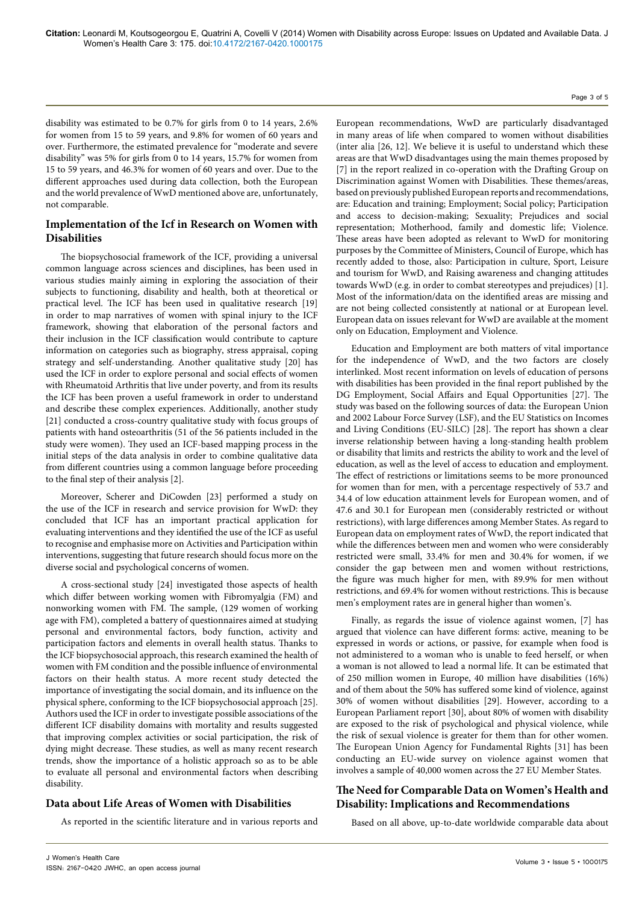disability was estimated to be 0.7% for girls from 0 to 14 years, 2.6% for women from 15 to 59 years, and 9.8% for women of 60 years and over. Furthermore, the estimated prevalence for "moderate and severe disability" was 5% for girls from 0 to 14 years, 15.7% for women from 15 to 59 years, and 46.3% for women of 60 years and over. Due to the different approaches used during data collection, both the European and the world prevalence of WwD mentioned above are, unfortunately, not comparable.

#### **Implementation of the Icf in Research on Women with Disabilities**

The biopsychosocial framework of the ICF, providing a universal common language across sciences and disciplines, has been used in various studies mainly aiming in exploring the association of their subjects to functioning, disability and health, both at theoretical or practical level. The ICF has been used in qualitative research [19] in order to map narratives of women with spinal injury to the ICF framework, showing that elaboration of the personal factors and their inclusion in the ICF classification would contribute to capture information on categories such as biography, stress appraisal, coping strategy and self-understanding. Another qualitative study [20] has used the ICF in order to explore personal and social effects of women with Rheumatoid Arthritis that live under poverty, and from its results the ICF has been proven a useful framework in order to understand and describe these complex experiences. Additionally, another study [21] conducted a cross-country qualitative study with focus groups of patients with hand osteoarthritis (51 of the 56 patients included in the study were women). They used an ICF-based mapping process in the initial steps of the data analysis in order to combine qualitative data from different countries using a common language before proceeding to the final step of their analysis [2].

Moreover, Scherer and DiCowden [23] performed a study on the use of the ICF in research and service provision for WwD: they concluded that ICF has an important practical application for evaluating interventions and they identified the use of the ICF as useful to recognise and emphasise more on Activities and Participation within interventions, suggesting that future research should focus more on the diverse social and psychological concerns of women.

A cross-sectional study [24] investigated those aspects of health which differ between working women with Fibromyalgia (FM) and nonworking women with FM. The sample, (129 women of working age with FM), completed a battery of questionnaires aimed at studying personal and environmental factors, body function, activity and participation factors and elements in overall health status. Thanks to the ICF biopsychosocial approach, this research examined the health of women with FM condition and the possible influence of environmental factors on their health status. A more recent study detected the importance of investigating the social domain, and its influence on the physical sphere, conforming to the ICF biopsychosocial approach [25]. Authors used the ICF in order to investigate possible associations of the different ICF disability domains with mortality and results suggested that improving complex activities or social participation, the risk of dying might decrease. These studies, as well as many recent research trends, show the importance of a holistic approach so as to be able to evaluate all personal and environmental factors when describing disability.

### **Data about Life Areas of Women with Disabilities**

As reported in the scientific literature and in various reports and

European recommendations, WwD are particularly disadvantaged in many areas of life when compared to women without disabilities (inter alia [26, 12]. We believe it is useful to understand which these areas are that WwD disadvantages using the main themes proposed by [7] in the report realized in co-operation with the Drafting Group on Discrimination against Women with Disabilities. These themes/areas, based on previously published European reports and recommendations, are: Education and training; Employment; Social policy; Participation and access to decision-making; Sexuality; Prejudices and social representation; Motherhood, family and domestic life; Violence. These areas have been adopted as relevant to WwD for monitoring purposes by the Committee of Ministers, Council of Europe, which has recently added to those, also: Participation in culture, Sport, Leisure and tourism for WwD, and Raising awareness and changing attitudes towards WwD (e.g. in order to combat stereotypes and prejudices) [1]. Most of the information/data on the identified areas are missing and are not being collected consistently at national or at European level. European data on issues relevant for WwD are available at the moment only on Education, Employment and Violence.

Education and Employment are both matters of vital importance for the independence of WwD, and the two factors are closely interlinked. Most recent information on levels of education of persons with disabilities has been provided in the final report published by the DG Employment, Social Affairs and Equal Opportunities [27]. The study was based on the following sources of data: the European Union and 2002 Labour Force Survey (LSF), and the EU Statistics on Incomes and Living Conditions (EU-SILC) [28]. The report has shown a clear inverse relationship between having a long-standing health problem or disability that limits and restricts the ability to work and the level of education, as well as the level of access to education and employment. The effect of restrictions or limitations seems to be more pronounced for women than for men, with a percentage respectively of 53.7 and 34.4 of low education attainment levels for European women, and of 47.6 and 30.1 for European men (considerably restricted or without restrictions), with large differences among Member States. As regard to European data on employment rates of WwD, the report indicated that while the differences between men and women who were considerably restricted were small, 33.4% for men and 30.4% for women, if we consider the gap between men and women without restrictions, the figure was much higher for men, with 89.9% for men without restrictions, and 69.4% for women without restrictions. This is because men's employment rates are in general higher than women's.

Finally, as regards the issue of violence against women, [7] has argued that violence can have different forms: active, meaning to be expressed in words or actions, or passive, for example when food is not administered to a woman who is unable to feed herself, or when a woman is not allowed to lead a normal life. It can be estimated that of 250 million women in Europe, 40 million have disabilities (16%) and of them about the 50% has suffered some kind of violence, against 30% of women without disabilities [29]. However, according to a European Parliament report [30], about 80% of women with disability are exposed to the risk of psychological and physical violence, while the risk of sexual violence is greater for them than for other women. The European Union Agency for Fundamental Rights [31] has been conducting an EU-wide survey on violence against women that involves a sample of 40,000 women across the 27 EU Member States.

### **The Need for Comparable Data on Women's Health and Disability: Implications and Recommendations**

Based on all above, up-to-date worldwide comparable data about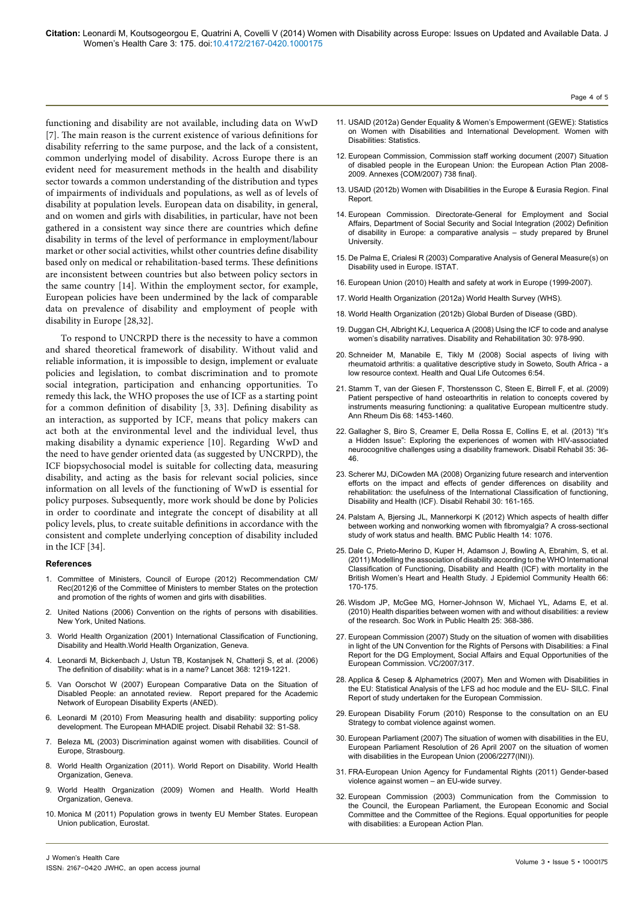functioning and disability are not available, including data on WwD [7]. The main reason is the current existence of various definitions for disability referring to the same purpose, and the lack of a consistent, common underlying model of disability. Across Europe there is an evident need for measurement methods in the health and disability sector towards a common understanding of the distribution and types of impairments of individuals and populations, as well as of levels of disability at population levels. European data on disability, in general, and on women and girls with disabilities, in particular, have not been gathered in a consistent way since there are countries which define disability in terms of the level of performance in employment/labour market or other social activities, whilst other countries define disability based only on medical or rehabilitation-based terms. These definitions are inconsistent between countries but also between policy sectors in the same country [14]. Within the employment sector, for example, European policies have been undermined by the lack of comparable data on prevalence of disability and employment of people with disability in Europe [28,32].

To respond to UNCRPD there is the necessity to have a common and shared theoretical framework of disability. Without valid and reliable information, it is impossible to design, implement or evaluate policies and legislation, to combat discrimination and to promote social integration, participation and enhancing opportunities. To remedy this lack, the WHO proposes the use of ICF as a starting point for a common definition of disability [3, 33]. Defining disability as an interaction, as supported by ICF, means that policy makers can act both at the environmental level and the individual level, thus making disability a dynamic experience [10]. Regarding WwD and the need to have gender oriented data (as suggested by UNCRPD), the ICF biopsychosocial model is suitable for collecting data, measuring disability, and acting as the basis for relevant social policies, since information on all levels of the functioning of WwD is essential for policy purposes. Subsequently, more work should be done by Policies in order to coordinate and integrate the concept of disability at all policy levels, plus, to create suitable definitions in accordance with the consistent and complete underlying conception of disability included in the ICF [34].

#### **References**

- 1. [Committee of Ministers, Council of Europe \(2012\) Recommendation CM/](http://www.coe.int/t/DGHL/STANDARDSETTING/EQUALITY/03themes/gender-equality/Rec_CM_2012_6_en.pdf) [Rec\(2012\)6 of the Committee of Ministers to member States on the protection](http://www.coe.int/t/DGHL/STANDARDSETTING/EQUALITY/03themes/gender-equality/Rec_CM_2012_6_en.pdf) [and promotion of the rights of women and girls with disabilities.](http://www.coe.int/t/DGHL/STANDARDSETTING/EQUALITY/03themes/gender-equality/Rec_CM_2012_6_en.pdf)
- 2. [United Nations \(2006\) Convention on the rights of persons with disabilities.](http://www.un.org/disabilities/documents/convention/convoptprot-e.pdf) [New York, United Nations.](http://www.un.org/disabilities/documents/convention/convoptprot-e.pdf)
- 3. [World Health Organization \(2001\) International Classification of Functioning,](http://www.who.int/classifications/icf/en/) [Disability and Health.World Health Organization, Geneva.](http://www.who.int/classifications/icf/en/)
- 4. [Leonardi M, Bickenbach J, Ustun TB, Kostanjsek N, Chatterji S, et al. \(2006\)](http://www.ncbi.nlm.nih.gov/pubmed/17027711) [The definition of disability: what is in a name? Lancet 368: 1219-1221.](http://www.ncbi.nlm.nih.gov/pubmed/17027711)
- 5. [Van Oorschot W \(2007\) European Comparative Data on the Situation of](http://www.disability-europe.net/content/aned/media/ANED report European Comparative Data on the Situation of Disabled People %28corrected%29.pdf) [Disabled People: an annotated review. Report prepared for the Academic](http://www.disability-europe.net/content/aned/media/ANED report European Comparative Data on the Situation of Disabled People %28corrected%29.pdf) [Network of European Disability Experts \(ANED\).](http://www.disability-europe.net/content/aned/media/ANED report European Comparative Data on the Situation of Disabled People %28corrected%29.pdf)
- 6. [Leonardi M \(2010\) From Measuring health and disability: supporting policy](http://www.ncbi.nlm.nih.gov/pubmed/20874446) [development. The European MHADIE project. Disabil Rehabil 32: S1-S8.](http://www.ncbi.nlm.nih.gov/pubmed/20874446)
- 7. [Beleza ML \(2003\) Discrimination against women with disabilities. Council of](http://www.wwda.org.au/wp-content/uploads/2013/12/europedisc1.pdf) [Europe, Strasbourg.](http://www.wwda.org.au/wp-content/uploads/2013/12/europedisc1.pdf)
- 8. [World Health Organization \(2011\). World Report on Disability. World Health](http://whqlibdoc.who.int/publications/2011/9789240685215_eng.pdf) [Organization, Geneva.](http://whqlibdoc.who.int/publications/2011/9789240685215_eng.pdf)
- 9. [World Health Organization \(2009\) Women and Health. World Health](http://whqlibdoc.who.int/publications/2009/9789241563857_eng.pdf) [Organization, Geneva.](http://whqlibdoc.who.int/publications/2009/9789241563857_eng.pdf)
- 10. [Monica M \(2011\) Population grows in twenty EU Member States. European](http://epp.eurostat.ec.europa.eu/cache/ITY_OFFPUB/KS-SF-11-038/EN/KS-SF-11-038-EN.PDF) [Union publication, Eurostat.](http://epp.eurostat.ec.europa.eu/cache/ITY_OFFPUB/KS-SF-11-038/EN/KS-SF-11-038-EN.PDF)

11. [USAID \(2012a\) Gender Equality & Women's Empowerment \(GEWE\): Statistics](http://www.usaid.gov/)  [on Women with Disabilities and International Development. Women with](http://www.usaid.gov/)  [Disabilities: Statistics.](http://www.usaid.gov/)

Page 4 of 5

- 12. [European Commission, Commission staff working document \(2007\) Situation](http://eur-lex.europa.eu/LexUriServ/LexUriServ.do?uri=COM:2007:0738:FIN:EN:PDF)  [of disabled people in the European Union: the European Action Plan 2008-](http://eur-lex.europa.eu/LexUriServ/LexUriServ.do?uri=COM:2007:0738:FIN:EN:PDF) [2009. Annexes {COM/2007\) 738 final}.](http://eur-lex.europa.eu/LexUriServ/LexUriServ.do?uri=COM:2007:0738:FIN:EN:PDF)
- 13. [USAID \(2012b\) Women with Disabilities in the Europe & Eurasia Region. Final](http://pdf.usaid.gov/pdf_docs/PNADZ326.pdf)  [Report.](http://pdf.usaid.gov/pdf_docs/PNADZ326.pdf)
- 14. European Commission. Directorate-General for Employment and Social Affairs, Department of Social Security and Social Integration (2002) Definition of disability in Europe: a comparative analysis – study prepared by Brunel University.
- 15. [De Palma E, Crialesi R \(2003\) Comparative Analysis of General Measure\(s\) on](http://siqual.istat.it/SIQual/files/General measure.pdf?cod=13274&tipo=2)  [Disability used in Europe. ISTAT.](http://siqual.istat.it/SIQual/files/General measure.pdf?cod=13274&tipo=2)
- 16. [European Union \(2010\) Health and safety at work in Europe \(1999-2007\).](http://epp.eurostat.ec.europa.eu/cache/ITY_OFFPUB/KS-31-09-290/EN/KS-31-09-290-EN.PDF)
- 17. [World Health Organization \(2012a\) World Health Survey \(WHS\).](http://www.who.int/healthinfo/survey/en/)
- 18. [World Health Organization \(2012b\) Global Burden of Disease \(GBD\).](http://www.who.int/topics/global_burden_of_disease/en/)
- 19. [Duggan CH, Albright KJ, Lequerica A \(2008\) Using the ICF to code and analyse](http://www.ncbi.nlm.nih.gov/pubmed/18484393)  [women's disability narratives. Disability and Rehabilitation 30: 978-990.](http://www.ncbi.nlm.nih.gov/pubmed/18484393)
- 20. [Schneider M, Manabile E, Tikly M \(2008\)](http://www.ncbi.nlm.nih.gov/pubmed/18651986) Social aspects of living with [rheumatoid arthritis: a qualitative descriptive study in Soweto, South Africa - a](http://www.ncbi.nlm.nih.gov/pubmed/18651986)  [low resource context. Health and Qual Life Outcomes 6:54.](http://www.ncbi.nlm.nih.gov/pubmed/18651986)
- 21. [Stamm T, van der Giesen F, Thorstensson C, Steen E, Birrell F, et al. \(2009\)](http://www.ncbi.nlm.nih.gov/pubmed/18765429)  [Patient perspective of hand osteoarthritis in relation to concepts covered by](http://www.ncbi.nlm.nih.gov/pubmed/18765429)  [instruments measuring functioning: a qualitative European multicentre study.](http://www.ncbi.nlm.nih.gov/pubmed/18765429)  [Ann Rheum Dis 68: 1453-1460.](http://www.ncbi.nlm.nih.gov/pubmed/18765429)
- 22. [Gallagher S, Biro S, Creamer E, Della Rossa E, Collins E, et al. \(2013\) "It's](http://www.ncbi.nlm.nih.gov/pubmed/22621682)  [a Hidden Issue": Exploring the experiences of women with HIV-associated](http://www.ncbi.nlm.nih.gov/pubmed/22621682)  [neurocognitive challenges using a disability framework. Disabil Rehabil 35: 36-](http://www.ncbi.nlm.nih.gov/pubmed/22621682) [46.](http://www.ncbi.nlm.nih.gov/pubmed/22621682)
- 23. [Scherer MJ, DiCowden MA \(2008\) Organizing future research and intervention](http://www.ncbi.nlm.nih.gov/pubmed/17852261)  [efforts on the impact and effects of gender differences on disability and](http://www.ncbi.nlm.nih.gov/pubmed/17852261)  [rehabilitation: the usefulness of the International Classification of functioning,](http://www.ncbi.nlm.nih.gov/pubmed/17852261)  [Disability and Health \(ICF\). Disabil Rehabil 30: 161-165.](http://www.ncbi.nlm.nih.gov/pubmed/17852261)
- 24. [Palstam A, Bjersing JL, Mannerkorpi K \(2012\) Which aspects of health differ](http://www.biomedcentral.com/1471-2458/12/1076)  [between working and nonworking women with fibromyalgia? A cross-sectional](http://www.biomedcentral.com/1471-2458/12/1076)  [study of work status and health. BMC Public Health 14: 1076.](http://www.biomedcentral.com/1471-2458/12/1076)
- 25. [Dale C, Prieto-Merino D, Kuper H, Adamson J, Bowling A, Ebrahim, S, et al.](http://www.ncbi.nlm.nih.gov/pubmed/22012963)  [\(2011\) Modelling the association of disability according to the WHO International](http://www.ncbi.nlm.nih.gov/pubmed/22012963)  [Classification of Functioning, Disability and Health \(ICF\) with mortality in the](http://www.ncbi.nlm.nih.gov/pubmed/22012963)  [British Women's Heart and Health Study. J Epidemiol Community Health 66:](http://www.ncbi.nlm.nih.gov/pubmed/22012963)  [170-175.](http://www.ncbi.nlm.nih.gov/pubmed/22012963)
- 26. [Wisdom JP, McGee MG, Horner-Johnson W, Michael YL, Adams E, et al.](http://www.ncbi.nlm.nih.gov/pubmed/20446182)  [\(2010\) Health disparities between women with and without disabilities: a review](http://www.ncbi.nlm.nih.gov/pubmed/20446182)  [of the research. Soc Work in Public Health 25: 368-386.](http://www.ncbi.nlm.nih.gov/pubmed/20446182)
- 27. [European Commission \(2007\) Study on the situation of women with disabilities](file:///C:\Users\omics\Downloads\VC-2007-0317 Final Report DEC09.pdf)  [in light of the UN Convention for the Rights of Persons with Disabilities: a Final](file:///C:\Users\omics\Downloads\VC-2007-0317 Final Report DEC09.pdf)  [Report for the DG Employment, Social Affairs and Equal Opportunities of the](file:///C:\Users\omics\Downloads\VC-2007-0317 Final Report DEC09.pdf)  [European Commission. VC/2007/317.](file:///C:\Users\omics\Downloads\VC-2007-0317 Final Report DEC09.pdf)
- 28. Applica & Cesep & Alphametrics (2007). Men and Women with Disabilities in the EU: Statistical Analysis of the LFS ad hoc module and the EU- SILC. Final Report of study undertaken for the European Commission.
- 29. [European Disability Forum \(2010\) Response to the consultation on an EU](http://cms.horus.be/files/99909/MediaArchive/library/EDF response to consultation on violence against women.doc)  [Strategy to combat violence against women.](http://cms.horus.be/files/99909/MediaArchive/library/EDF response to consultation on violence against women.doc)
- 30. [European Parliament \(2007\) The situation of women with disabilities in the EU,](http://www.europarl.europa.eu/sides/getDoc.do?pubRef=-//EP//NONSGML+TA+P6-TA-2007-0160+0+DOC+PDF+V0//EN)  [European Parliament Resolution of 26 April 2007 on the situation of women](http://www.europarl.europa.eu/sides/getDoc.do?pubRef=-//EP//NONSGML+TA+P6-TA-2007-0160+0+DOC+PDF+V0//EN)  [with disabilities in the European Union \(2006/2277\(INI\)\).](http://www.europarl.europa.eu/sides/getDoc.do?pubRef=-//EP//NONSGML+TA+P6-TA-2007-0160+0+DOC+PDF+V0//EN)
- 31. [FRA-European Union Agency for Fundamental Rights \(2011\) Gender-based](http://fra.europa.eu/sites/default/files/fra_uploads/1856-FRA-Factsheet_ViolenceAgainstWomen_EN.pdf)  [violence against women – an EU-wide survey.](http://fra.europa.eu/sites/default/files/fra_uploads/1856-FRA-Factsheet_ViolenceAgainstWomen_EN.pdf)
- 32. [European Commission \(2003\) Communication from the Commission to](http://eur-lex.europa.eu/LexUriServ/LexUriServ.do?uri=COM:2003:0650:FIN:EN:PDF)  [the Council, the European Parliament, the European Economic and Social](http://eur-lex.europa.eu/LexUriServ/LexUriServ.do?uri=COM:2003:0650:FIN:EN:PDF)  [Committee and the Committee of the Regions. Equal opportunities for people](http://eur-lex.europa.eu/LexUriServ/LexUriServ.do?uri=COM:2003:0650:FIN:EN:PDF)  [with disabilities: a European Action Plan.](http://eur-lex.europa.eu/LexUriServ/LexUriServ.do?uri=COM:2003:0650:FIN:EN:PDF)